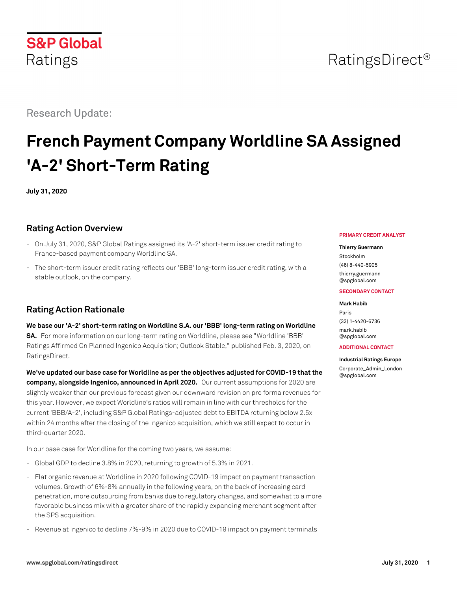## RatingsDirect<sup>®</sup>

Research Update:

**S&P Global** 

Ratings

# **French Payment Company Worldline SA Assigned 'A-2' Short-Term Rating**

**July 31, 2020**

## **Rating Action Overview**

- On July 31, 2020, S&P Global Ratings assigned its 'A-2' short-term issuer credit rating to France-based payment company Worldline SA.
- The short-term issuer credit rating reflects our 'BBB' long-term issuer credit rating, with a stable outlook, on the company.

## **Rating Action Rationale**

**We base our 'A-2' short-term rating on Worldline S.A. our 'BBB' long-term rating on Worldline SA.** For more information on our long-term rating on Worldline, please see "Worldline 'BBB' Ratings Affirmed On Planned Ingenico Acquisition; Outlook Stable," published Feb. 3, 2020, on RatingsDirect.

**We've updated our base case for Worldline as per the objectives adjusted for COVID-19 that the company, alongside Ingenico, announced in April 2020.** Our current assumptions for 2020 are slightly weaker than our previous forecast given our downward revision on pro forma revenues for this year. However, we expect Worldline's ratios will remain in line with our thresholds for the current 'BBB/A-2', including S&P Global Ratings-adjusted debt to EBITDA returning below 2.5x within 24 months after the closing of the Ingenico acquisition, which we still expect to occur in third-quarter 2020.

In our base case for Worldline for the coming two years, we assume:

- Global GDP to decline 3.8% in 2020, returning to growth of 5.3% in 2021.
- Flat organic revenue at Worldline in 2020 following COVID-19 impact on payment transaction volumes. Growth of 6%-8% annually in the following years, on the back of increasing card penetration, more outsourcing from banks due to regulatory changes, and somewhat to a more favorable business mix with a greater share of the rapidly expanding merchant segment after the SPS acquisition.
- Revenue at Ingenico to decline 7%-9% in 2020 due to COVID-19 impact on payment terminals

#### **PRIMARY CREDIT ANALYST**

#### **Thierry Guermann**

Stockholm (46) 8-440-5905 [thierry.guermann](mailto:thierry.guermann@spglobal.com) [@spglobal.com](mailto:thierry.guermann@spglobal.com)

#### **SECONDARY CONTACT**

#### **Mark Habib**

Paris (33) 1-4420-6736 [mark.habib](mailto:mark.habib@spglobal.com) [@spglobal.com](mailto:mark.habib@spglobal.com)

#### **ADDITIONAL CONTACT**

#### **Industrial Ratings Europe**

[Corporate\\_Admin\\_London](mailto:Corporate_Admin_London@spglobal.com) [@spglobal.com](mailto:Corporate_Admin_London@spglobal.com)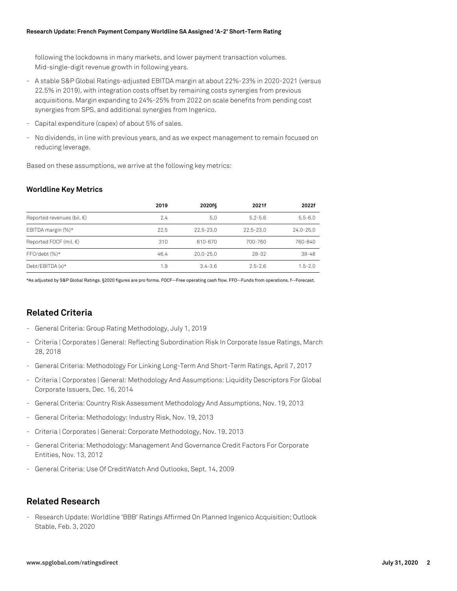following the lockdowns in many markets, and lower payment transaction volumes. Mid-single-digit revenue growth in following years.

- A stable S&P Global Ratings-adjusted EBITDA margin at about 22%-23% in 2020-2021 (versus 22.5% in 2019), with integration costs offset by remaining costs synergies from previous acquisitions. Margin expanding to 24%-25% from 2022 on scale benefits from pending cost synergies from SPS, and additional synergies from Ingenico.
- Capital expenditure (capex) of about 5% of sales.
- No dividends, in line with previous years, and as we expect management to remain focused on reducing leverage.

Based on these assumptions, we arrive at the following key metrics:

#### **Worldline Key Metrics**

|                                      | 2019 | 2020f§        | 2021f         | 2022f         |
|--------------------------------------|------|---------------|---------------|---------------|
| Reported revenues (bil. $\epsilon$ ) | 2.4  | 5.0           | $5.2 - 5.6$   | $5.5 - 6.0$   |
| EBITDA margin (%)*                   | 22.5 | $22.5 - 23.0$ | $22.5 - 23.0$ | $24.0 - 25.0$ |
| Reported FOCF (mil. $\in$ )          | 310  | 610-670       | 700-760       | 760-840       |
| $FFO/debt(%)*$                       | 46.4 | $20.0 - 25.0$ | 28-32         | $38 - 48$     |
| Debt/EBITDA (x)*                     | 1.9  | $3.4 - 3.6$   | $2.5 - 2.6$   | $1.5 - 2.0$   |

\*As adjusted by S&P Global Ratings. §2020 figures are pro forma. FOCF--Free operating cash flow. FFO--Funds from operations. f--Forecast.

### **Related Criteria**

- General Criteria: Group Rating Methodology, July 1, 2019
- Criteria | Corporates | General: Reflecting Subordination Risk In Corporate Issue Ratings, March 28, 2018
- General Criteria: Methodology For Linking Long-Term And Short-Term Ratings, April 7, 2017
- Criteria | Corporates | General: Methodology And Assumptions: Liquidity Descriptors For Global Corporate Issuers, Dec. 16, 2014
- General Criteria: Country Risk Assessment Methodology And Assumptions, Nov. 19, 2013
- General Criteria: Methodology: Industry Risk, Nov. 19, 2013
- Criteria | Corporates | General: Corporate Methodology, Nov. 19, 2013
- General Criteria: Methodology: Management And Governance Credit Factors For Corporate Entities, Nov. 13, 2012
- General Criteria: Use Of CreditWatch And Outlooks, Sept. 14, 2009

### **Related Research**

- Research Update: Worldline 'BBB' Ratings Affirmed On Planned Ingenico Acquisition; Outlook Stable, Feb. 3, 2020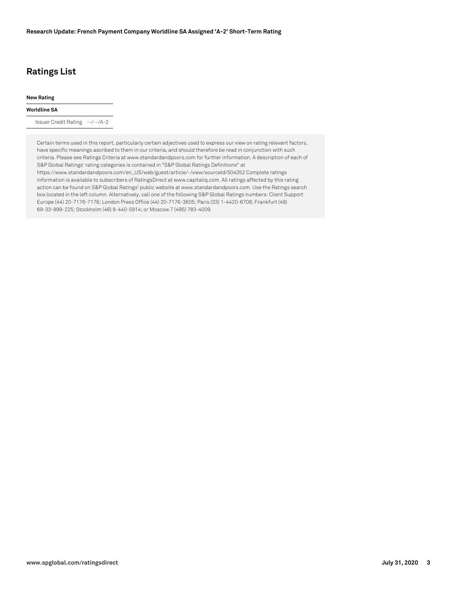## **Ratings List**

#### **New Rating**

#### **Worldline SA**

Issuer Credit Rating --/--/A-2

Certain terms used in this report, particularly certain adjectives used to express our view on rating relevant factors, have specific meanings ascribed to them in our criteria, and should therefore be read in conjunction with such criteria. Please see Ratings Criteria at www.standardandpoors.com for further information. A description of each of S&P Global Ratings' rating categories is contained in "S&P Global Ratings Definitions" at https://www.standardandpoors.com/en\_US/web/guest/article/-/view/sourceId/504352 Complete ratings information is available to subscribers of RatingsDirect at www.capitaliq.com. All ratings affected by this rating action can be found on S&P Global Ratings' public website at www.standardandpoors.com. Use the Ratings search box located in the left column. Alternatively, call one of the following S&P Global Ratings numbers: Client Support Europe (44) 20-7176-7176; London Press Office (44) 20-7176-3605; Paris (33) 1-4420-6708; Frankfurt (49) 69-33-999-225; Stockholm (46) 8-440-5914; or Moscow 7 (495) 783-4009.